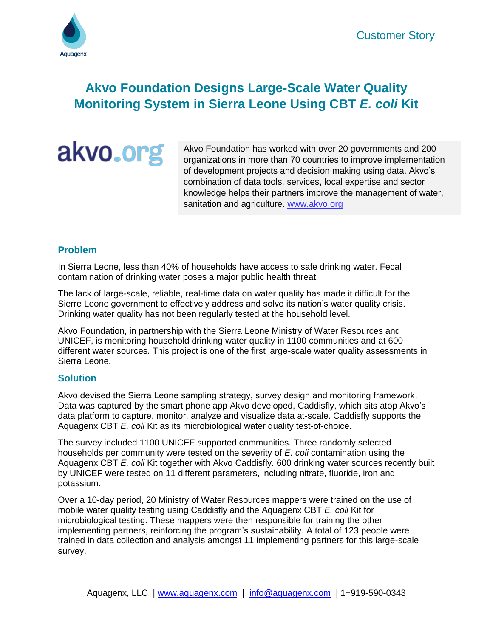

# **Akvo Foundation Designs Large-Scale Water Quality Monitoring System in Sierra Leone Using CBT** *E. coli* **Kit**

akvo.org

Akvo Foundation has worked with over 20 governments and 200 organizations in more than 70 countries to improve implementation of development projects and decision making using data. Akvo's combination of data tools, services, local expertise and sector knowledge helps their partners improve the management of water, sanitation and agriculture. [www.akvo.org](https://akvo.org/)

### **Problem**

In Sierra Leone, less than 40% of households have access to safe drinking water. Fecal contamination of drinking water poses a major public health threat.

The lack of large-scale, reliable, real-time data on water quality has made it difficult for the Sierre Leone government to effectively address and solve its nation's water quality crisis. Drinking water quality has not been regularly tested at the household level.

Akvo Foundation, in partnership with the Sierra Leone Ministry of Water Resources and UNICEF, is monitoring household drinking water quality in 1100 communities and at 600 different water sources. This project is one of the first large-scale water quality assessments in Sierra Leone.

#### **Solution**

Akvo devised the Sierra Leone sampling strategy, survey design and monitoring framework. Data was captured by the smart phone app Akvo developed, Caddisfly, which sits atop Akvo's data platform to capture, monitor, analyze and visualize data at-scale. Caddisfly supports the Aquagenx CBT *E. coli* Kit as its microbiological water quality test-of-choice.

The survey included 1100 UNICEF supported communities. Three randomly selected households per community were tested on the severity of *E. coli* contamination using the Aquagenx CBT *E. coli* Kit together with Akvo Caddisfly. 600 drinking water sources recently built by UNICEF were tested on 11 different parameters, including nitrate, fluoride, iron and potassium.

Over a 10-day period, 20 Ministry of Water Resources mappers were trained on the use of mobile water quality testing using Caddisfly and the Aquagenx CBT *E. coli* Kit for microbiological testing. These mappers were then responsible for training the other implementing partners, reinforcing the program's sustainability. A total of 123 people were trained in data collection and analysis amongst 11 implementing partners for this large-scale survey.